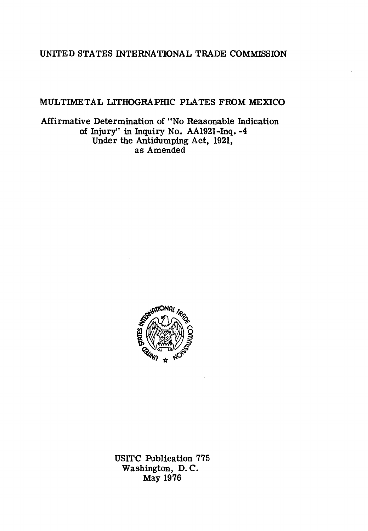# UNITED STATES INTERNATIONAL TRADE COMMISSION

# MULTIMETAL LITHOGRAPffiC PLATES FROM MEXICO

Affirmative Determination of "No Reasonable Indication of Injury" in Inquiry No. AA1921-Inq. -4 Under the Antidumping Act, 1921, as Amended



USITC Publication 775 Washington, D. C. May 1976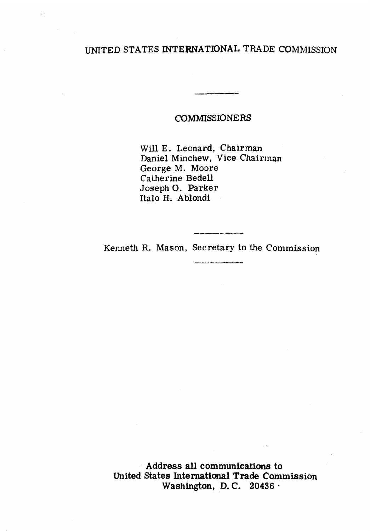# UNITED STATES INTERNATIONAL TRADE COMMISSION

### COMMISSIONERS

Will E. Leonard, Chairman Daniel Minchew, Vice Chairman George M. Moore Catherine Bedell Joseph 0. Parker Italo H. Ablondi

Kenneth R. Mason, Secretary to the Commission

. Address all communications to United States International Trade Commission Washington, D.C. 20436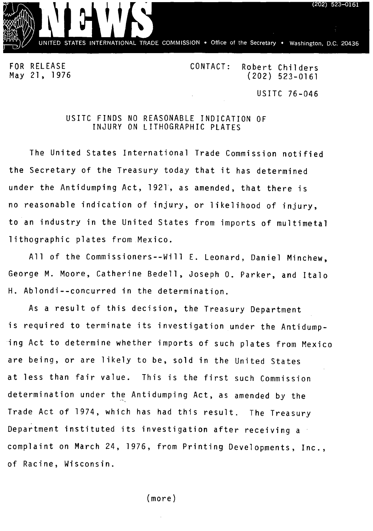UNITED STATES INTERNATIONAL TRADE COMMISSION . Office of the Secretary . Washington, D.C. 20436

FOR RELEASE May 21, 1976 CONTACT: Robert Childers (202) 523-0161 USITC 76-046

(202) 523–0161

## USITC FINDS NO REASONABLE INDICATION OF INJURY ON LITHOGRAPHIC PLATES

The United States International Trade Commission notified the Secretary of the Treasury today that it has determined under the Antidumping Act, 1921, as amended, that there is no reasonable indication of injury, or likelihood of injury, to an industry in the United States from imports of multimetal lithographic plates from Mexico.

All of the Commissioners--Will E. Leonard, Daniel Minchew, George M. Moore, Catherine Bedell, Joseph 0. Parker, and Italo H. Ablondi--concurred in the determination.

As a result of this decision, the Treasury Department is required to terminate its investigation under the Antidumping Act to determine whether imports of such plates from Mexico are being, or are likely to be, sold in the United States at less than fair value. This is the first such Commission determination under the Antidumping Act, as amended by the Trade Act of 1974, which has had this result. The Treasury Department instituted its investigation after receiving a complaint on March 24, 1976, from Printing Developments, Inc., of Racine, Wisconsin.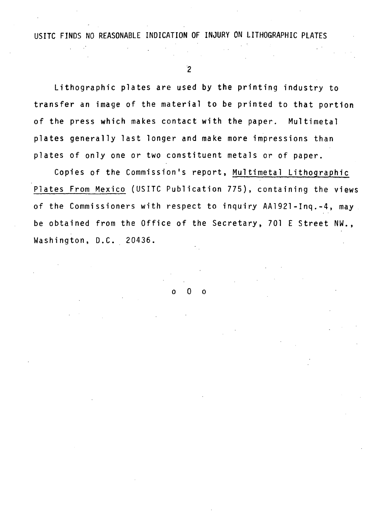USITC FINDS NO REASONABLE INDICATION OF INJURY ON LITHOGRAPHIC PLATES

2

Lithographic plates are used by the printing industry to transfer an image of the material to be printed to that portion of the press which makes contact with the paper. Multimetal plates generally last longer and make more impressions than plates of only one or two constituent metals or of paper.

Copies of the Commission's report, Multimetal Lithographic Plates From Mexico (USITC Publication 775), containing the views of the Commissioners with respect to inquiry AA1921-Inq.-4, may be obtained from the Office of the Secretary, 701 E Street NW., Washington, D.C. 20436.

0 0 0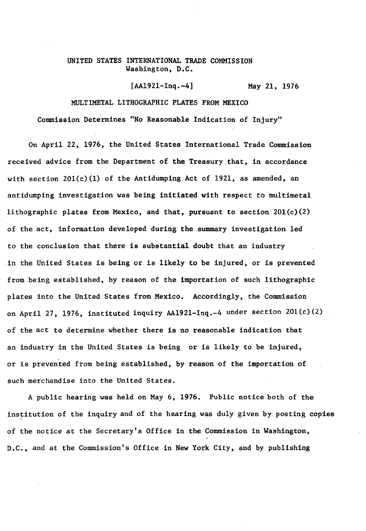#### UNITED STATES INTERNATIONAL TRADE COMMISSION Washington, D.C.

[AA1921-Inq.-4] May 21, 1976

#### MULTIMETAL LITHOGRAPHIC PLATES FROM MEXICO

Commission Determines "No Reasonable Indication of Injury"

On April 22, 1976, the United States International Trade Commission received advice from the Department of the Treasury that, in accordance with section  $201(c)(1)$  of the Antidumping Act of 1921, as amended, an antidumping investigation was being initiated with respect to multimetal lithographic plates from Mexico, and that, pursuant to section 20l(c){2) of the act, information developed during the summary investigation led to the conclusion that there is substantial doubt that an industry in the United States is being or is likely to be injured, or is prevented from being established, by reason of the importation of such lithographic plates into the United States from Mexico. Accordingly, the Commission on April 27, 1976, instituted inquiry AA1921-Inq.-4 under section 20l(c)(2) of the act to determine whether there is no reasonable indication that an industry in the United States is being or is likely to be injured, or is prevented from being established, by reason of the importation of such merchandise into the United States.

A public hearing was held on May 6, 1976. Public notice both of the institution of the inquiry and of the hearing was duly given by posting copies of the notice at the Secretary's Office in the Commission in Washington, D.C., and at the Commission's Office in New York City, and by publishing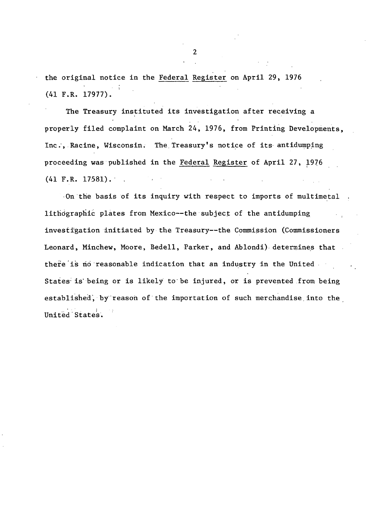the original notice in the Federal Register on April 29, 1976 (41 F.R. 17977).

The Treasury instituted its investigation after receiving a properly filed complaint on March 24, 1976, from Printing Developments, Inc., Racine, Wisconsin. The Treasury's notice of its antidumping proceeding was published in the Federal Register of April 27, 1976  $(41 \t{F.R.} 17581)$ .

·On the basis of its inquiry with respect to imports of multime\_tal lithographic plates from Mexico--the subject of the antidumping investigation initiated by the Treasury--the Commission (Commissioners Leonard, Minchew, Moore, Bedell, Parker, and Ablondi) determines that there is no reasonable indication that an industry in the United States is being or is likely to be injured, or is prevented from being established, by reason of the importation of such merchandise into the United States.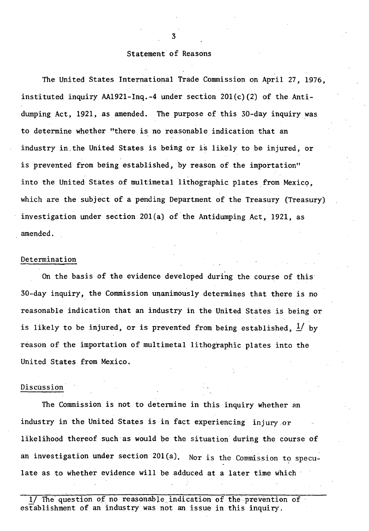#### Statement of Reasons

The United States International Trade Commission on April 27, 1976, instituted inquiry AA1921-Inq.-4 under section  $201(c)(2)$  of the Antidumping Act, 1921, as amended. The purpose of this 30-day inquiry was to determine whether "there is no reasonable indication that an industry in.the United States is being or is likely to be injured, or is prevented from being established, by reason of the importation" into the United States of multimetal lithographic plates from Mexico, which are the subject of a pending Department of the Treasury (Treasury) investigation under section  $201(a)$  of the Antidumping Act, 1921, as amended.

#### Determination

On the basis of the evidence developed during the course of this 30-day inquiry, the Commission unanimously determines that there is no reasonable indication that an industry in the United States is being or is likely to be injured, or is prevented from being established,  $\frac{1}{2}$  by reason of the importation of multimetal lithographic plates into the United States from Mexico.

#### Discussion·

The Commission is not to determine in this inquiry whether an industry in the United States is in fact experiencing injury .or likelihood thereof such as would be the situation during the course of an investigation under section  $201(a)$ . Nor is the Commission to speculate as to whether evidence will be adduced at a later time which

1/ The question of no reasonable indication of the prevention of establishment of an industry was not an issue in this inquiry.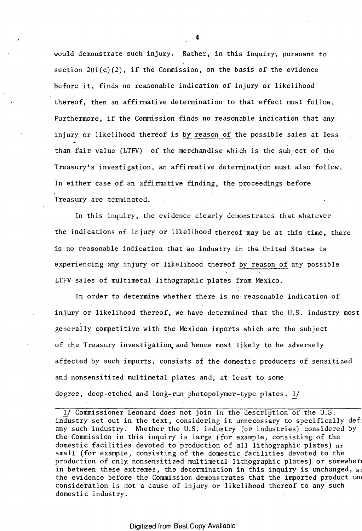would demonstrate such injury. Rather, in this inquiry, pursuant to section  $201(c)(2)$ , if the Commission, on the basis of the evidence before it, finds no reasonable indication of injury or likelihood thereof, then an affirmative determination to that effect must follow. Furthermore, if the Commission finds no reasonable indication that any injury or likelihood thereof is by reason of the possible sales at less than fair value (LTFV) of the merchandise which is the subject of the Treasury's investigation, an affirmative determinat\_ion must also follow. In either case of an affirmative finding, the proceedings before Treasury are terminated.

In this inquiry, the evidence clearly demonstrates that whatever the indications of injury or likelihood thereof may be at this time, there is no reasonable indication that an industry in the United States is experiencing any injury or likelihood thereof by reason of any possible LTFV sales of multimetal lithographic plates from Mexico.

In order to determine whether there is no reasonable indication of injury or likelihood thereof, we have determined that the U.S. industry most generally competitive with the Mexican imports which are the subject of the Treasury investigation, and hence most likely to be adversely affected by such imports, consists of the domestic producers of sensitized and nonsensitized multimetal plates and, at least to some degree, deep-etched and long-run photopolymer-type plates. 1/

1/ Commissioner Leonard does not join in the description of the U.S. industry set out in the text, considering it unnecessary to specifically def: any such industry. Whether the U.S. industry (or industries) considered by the Commission in this inquiry is large (for example, consisting of the domestic facilities devoted to production of all lithographic plates) or small (for example, consisting of the domestic facilities devoted to the production of only nonsensitized multimetal lithographic plates) or somewher in between these extremes, the determination in this inquiry is unchanged,  $s$ the evidence before the Commission demonstrates that the imported product uni consideration is not a cause of injury or likelihood thereof to any such domestic industry.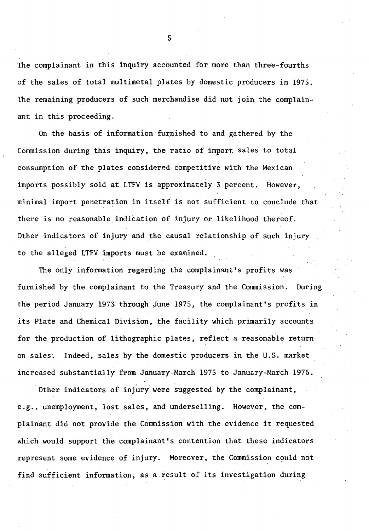The complainant in this inquiry accounted for more than three-fourths of the sales of total multimetal plates by domestic producers in 1975. The remaining producers of such merchandise did not join the complainant in this proceeding.

On the basis of information furnished to and gathered by the Commission during this inquiry, the ratio of import sales to total consumption of the plates considered competitive with the Mexican imports possibly sold at LTFV is approximately 3 percent. However, minimal import penetration in itself is not sufficient to conclude that there is no reasonable indication of injury or likelihood thereof. Other indicators of injury and the causal relationship of such injury to the alleged LTFV imports must be examined.

The only information regarding the complainant's profits was furnished by the complainant to the Treasury and the Commission. During the period January 1973 through June 1975, the complainant's profits in its Plate and Chemical Division, the facility which primarily accounts for the production of lithographic plates, reflect *a* reasonable return on sales. Indeed,. sales by the domestic producers in the U.S. market increased substantially from January-March l975 to January-March 1976.

Other indicators of injury were suggested by the complainant, e.g., unemployment, lost sales, and underselling. However, the complainant did not provide the Commission with the evidence it requested which would support the complainant's contention that these indicators represent some evidence of injury. Moreover, the Commission could not find sufficient information, as a result of its investigation during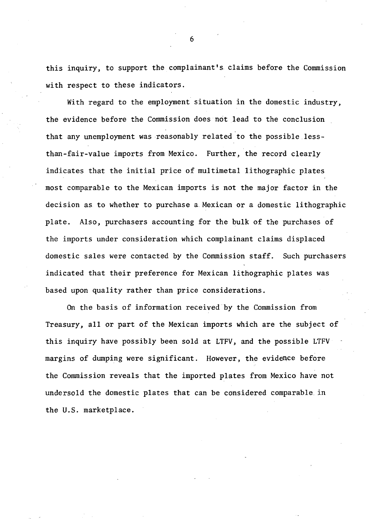this inquiry, to support the complainant's claims before the Commission with respect to these indicators.

With regard to the employment situation in the domestic industry, the evidence before the Commission does not lead to the conclusion that any unemployment was reasonably related to the possible lessthan-fair-value imports from Mexico. Further, the record clearly indicates that the initial price of multimetal lithographic plates most comparable to the Mexican imports is not the major factor in the decision as to whether to purchase a.Mexican or a domestic lithographic plate. Also, purchasers accounting for the bulk of the purchases of the imports under consideration which complainant claims displaced domestic sales were contacted by the Commission staff. Such purchasers indicated that their preference for Mexican lithographic plates was based upon quality rather than price considerations.

On the basis of information received by the Commission from Treasury, all or part of the Mexican imports which are the subject of this inquiry have possibly been sold at LTFV, and the possible LTFV margins of dumping were significant. However, the evidence before the Commission reveals that the imported plates from Mexico have not undersold the domestic plates that can be considered comparable in the U.S. marketplace.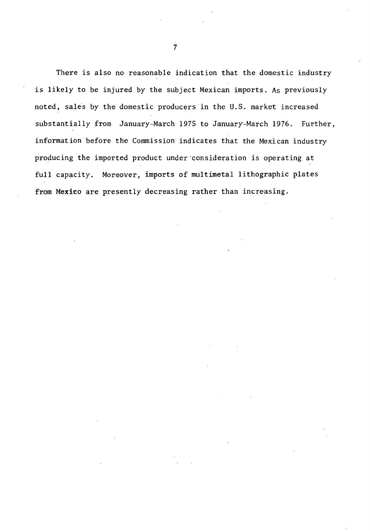There is also no reasonable indication that the domestic industry is likely to be injured by the subject Mexican imports. As previously noted, sales by the domestic producers in the U.S. market increased substantially from January-March 1975 to January-March 1976. Further, information before the Commission indicates that the Mexican industry producing the imported product under·consideration is operating at full capacity. Moreover, imports of multimetal lithographic plates from Mexico are presently decreasing rather than increasing.

 $\overline{7}$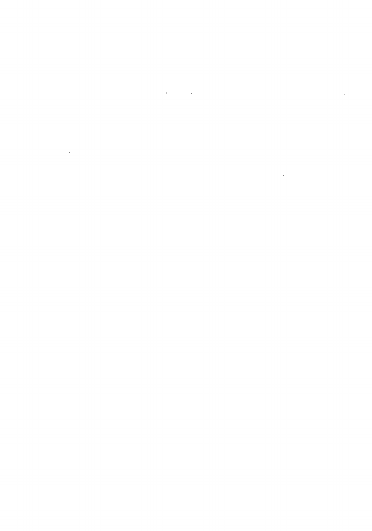$\mathcal{L}^{\mathcal{L}}(\mathcal{L}^{\mathcal{L}})$  and the contract of the contract of the contract of the contract of the contract of the contract of the contract of the contract of the contract of the contract of the contract of the contrac  $\label{eq:2.1} \frac{1}{\sqrt{2}}\int_{\mathbb{R}^3}\frac{1}{\sqrt{2}}\left(\frac{1}{\sqrt{2}}\int_{\mathbb{R}^3}\frac{1}{\sqrt{2}}\left(\frac{1}{\sqrt{2}}\int_{\mathbb{R}^3}\frac{1}{\sqrt{2}}\right)\frac{1}{\sqrt{2}}\right)\frac{1}{\sqrt{2}}\frac{1}{\sqrt{2}}\frac{1}{\sqrt{2}}\int_{\mathbb{R}^3}\frac{1}{\sqrt{2}}\frac{1}{\sqrt{2}}\frac{1}{\sqrt{2}}\frac{1}{\sqrt{2}}\frac{1}{\sqrt{2}}\frac{1}{\sqrt{2$ 

 $\label{eq:2.1} \frac{1}{\sqrt{2}}\left(\frac{1}{\sqrt{2}}\right)^{2} \left(\frac{1}{\sqrt{2}}\right)^{2} \left(\frac{1}{\sqrt{2}}\right)^{2} \left(\frac{1}{\sqrt{2}}\right)^{2} \left(\frac{1}{\sqrt{2}}\right)^{2} \left(\frac{1}{\sqrt{2}}\right)^{2} \left(\frac{1}{\sqrt{2}}\right)^{2} \left(\frac{1}{\sqrt{2}}\right)^{2} \left(\frac{1}{\sqrt{2}}\right)^{2} \left(\frac{1}{\sqrt{2}}\right)^{2} \left(\frac{1}{\sqrt{2}}\right)^{2} \left(\$ 

 $\label{eq:2.1} \frac{1}{\sqrt{2}}\int_{\mathbb{R}^3}\frac{1}{\sqrt{2}}\left(\frac{1}{\sqrt{2}}\right)^2\frac{1}{\sqrt{2}}\left(\frac{1}{\sqrt{2}}\right)^2\frac{1}{\sqrt{2}}\left(\frac{1}{\sqrt{2}}\right)^2\frac{1}{\sqrt{2}}\left(\frac{1}{\sqrt{2}}\right)^2.$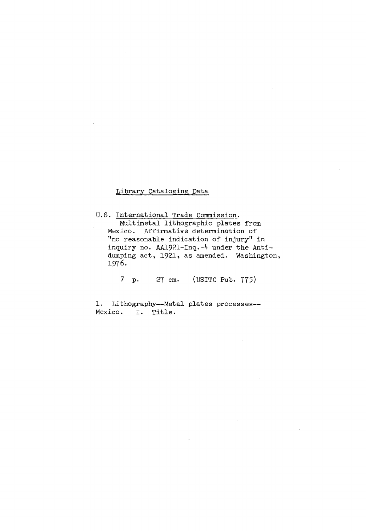#### Library Cataloging Data

U.S. International Trade Commission.

Multimetal lithographic plates from Mexico. Affirmative determination of "no reasonable indication of injury" in inquiry no. AA1921-Inq.-4 under the Antidumping act, 1921, as amended. Washington, 1976.

7 p. 27 cm. (USITC Pub. 775)

 $\bar{z}$ 

1. Lithography--Metal plates processes-- Mexico. I. Title.